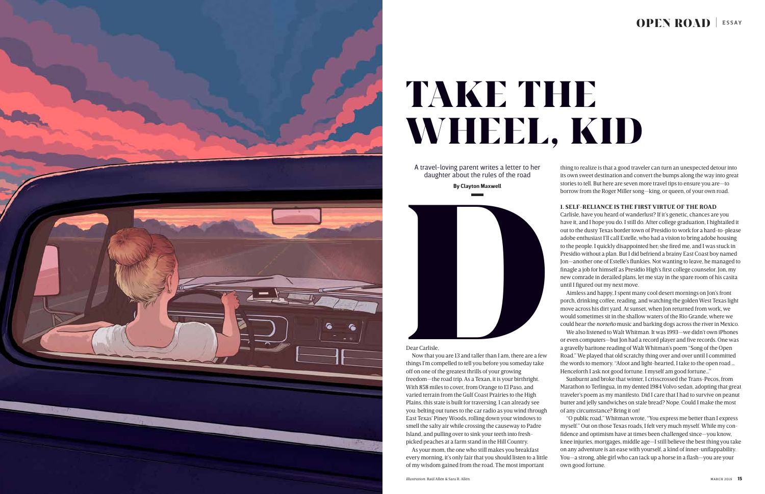## Dear Carlisle,

Now that you are 13 and taller than I am, there are a few things I'm compelled to tell you before you someday take off on one of the greatest thrills of your growing freedom—the road trip. As a Texan, it is your birthright. With 858 miles to cover, from Orange to El Paso, and varied terrain from the Gulf Coast Prairies to the High Plains, this state is built for traversing. I can already see you: belting out tunes to the car radio as you wind through East Texas' Piney Woods, rolling down your windows to smell the salty air while crossing the causeway to Padre Island, and pulling over to sink your teeth into freshpicked peaches at a farm stand in the Hill Country.

As your mom, the one who still makes you breakfast every morning, it's only fair that you should listen to a little of my wisdom gained from the road. The most important

thing to realize is that a good traveler can turn an unexpected detour into its own sweet destination and convert the bumps along the way into great stories to tell. But here are seven more travel tips to ensure you are—to borrow from the Roger Miller song—king, or queen, of your own road.

# **1. SELF-RELIANCE IS THE FIRST VIRTUE OF THE ROAD**

Carlisle, have you heard of wanderlust? If it's genetic, chances are you have it, and I hope you do. I still do. After college graduation, I hightailed it out to the dusty Texas border town of Presidio to work for a hard-to-please adobe enthusiast I'll call Estelle, who had a vision to bring adobe housing to the people. I quickly disappointed her; she fired me, and I was stuck in Presidio without a plan. But I did befriend a brainy East Coast boy named Jon—another one of Estelle's flunkies. Not wanting to leave, he managed to finagle a job for himself as Presidio High's first college counselor. Jon, my new comrade in derailed plans, let me stay in the spare room of his casita until I figured out my next move.



# TAKE THE WHEEL, KID

Aimless and happy, I spent many cool desert mornings on Jon's front porch, drinking coffee, reading, and watching the golden West Texas light move across his dirt yard. At sunset, when Jon returned from work, we would sometimes sit in the shallow waters of the Rio Grande, where we could hear the *norteño* music and barking dogs across the river in Mexico. We also listened to Walt Whitman. It was 1993—we didn't own iPhones or even computers—but Jon had a record player and five records. One was a gravelly baritone reading of Walt Whitman's poem "Song of the Open Road." We played that old scratchy thing over and over until I committed the words to memory. "Afoot and light-hearted, I take to the open road … Henceforth I ask not good fortune. I myself am good fortune…"

Sunburnt and broke that winter, I crisscrossed the Trans-Pecos, from Marathon to Terlingua, in my dented 1984 Volvo sedan, adopting that great traveler's poem as my manifesto. Did I care that I had to survive on peanut butter and jelly sandwiches on stale bread? Nope. Could I make the most of any circumstance? Bring it on!

"O public road," Whitman wrote, "You express me better than I express myself." Out on those Texas roads, I felt very much myself. While my confidence and optimism have at times been challenged since—you know, knee injuries, mortgages, middle age—I still believe the best thing you take on any adventure is an ease with yourself, a kind of inner-unflappability. You—a strong, able girl who can tack up a horse in a flash—you are your own good fortune.

# OPEN ROAD | ESSAY



A travel-loving parent writes a letter to her daughter about the rules of the road

**By Clayton Maxwell**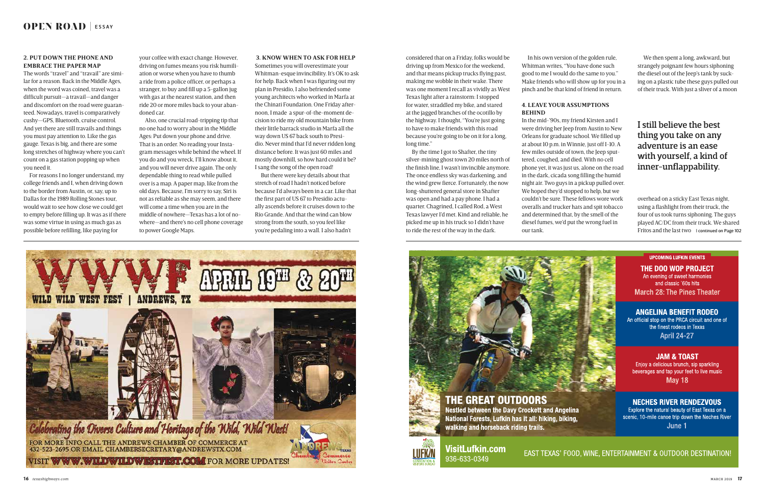

your coffee with exact change. However, driving on fumes means you risk humiliation or worse when you have to thumb a ride from a police officer, or perhaps a stranger, to buy and fill up a 5-gallon jug with gas at the nearest station, and then ride 20 or more miles back to your abandoned car.

Also, one crucial road-tripping tip that no one had to worry about in the Middle Ages: Put down your phone and drive. That is an order. No reading your Instagram messages while behind the wheel. If you do and you wreck, I'll know about it, and you will never drive again. The only dependable thing to read while pulled over is a map. A paper map, like from the old days. Because, I'm sorry to say, Siri is not as reliable as she may seem, and there will come a time when you are in the middle of nowhere—Texas has a lot of nowhere—and there's no cell phone coverage to power Google Maps.

In his own version of the golden rule, Whitman writes, "You have done such good to me I would do the same to you." Make friends who will show up for you in a pinch and be that kind of friend in return.

# **4. LEAVE YOUR ASSUMPTIONS BEHIND**

In the mid-'90s, my friend Kirsten and I were driving her Jeep from Austin to New Orleans for graduate school. We filled up at about 10 p.m. in Winnie, just off I-10. A few miles outside of town, the Jeep sputtered, coughed, and died. With no cell phone yet, it was just us, alone on the road in the dark, cicada song filling the humid night air. Two guys in a pickup pulled over. We hoped they'd stopped to help, but we couldn't be sure. These fellows wore work overalls and trucker hats and spit tobacco and determined that, by the smell of the diesel fumes, we'd put the wrong fuel in our tank.





VisitLufkin.com 936-633-0349

# **2. PUT DOWN THE PHONE AND EMBRACE THE PAPER MAP**

The words "travel" and "travail" are similar for a reason. Back in the Middle Ages, when the word was coined, travel was a difficult pursuit—a travail—and danger and discomfort on the road were guaranteed. Nowadays, travel is comparatively cushy—GPS, Bluetooth, cruise control. And yet there are still travails and things you must pay attention to. Like the gas gauge. Texas is big, and there are some long stretches of highway where you can't count on a gas station popping up when you need it.

> overhead on a sticky East Texas night, using a flashlight from their truck, the four of us took turns siphoning. The guys played AC/DC from their truck. We shared Fritos and the last two | continued on Page 102

### **UPCOMING LUFKIN EVENTS**

THE DOO WOP PROJECT An evening of sweet harmonies and classic '60s hits

**March 28: The Pines Theater** 

# **ANGELINA BENEFIT RODEO**

An official stop on the PRCA circuit and one of the finest rodeos in Texas **April 24-27** 

# **JAM & TOAST**

Enjoy a delicious brunch, sip sparkling beverages and tap your feet to live music **May 18** 

# **NECHES RIVER RENDEZVOUS**

Explore the natural beauty of East Texas on a scenic, 10-mile canoe trip down the Neches River June 1

# EAST TEXAS' FOOD, WINE, ENTERTAINMENT & OUTDOOR DESTINATION!

For reasons I no longer understand, my college friends and I, when driving down to the border from Austin, or, say, up to Dallas for the 1989 Rolling Stones tour, would wait to see how close we could get to empty before filling up. It was as if there was some virtue in using as much gas as possible before refilling, like paying for

considered that on a Friday, folks would be driving up from Mexico for the weekend, and that means pickup trucks flying past, making me wobble in their wake. There was one moment I recall as vividly as West Texas light after a rainstorm: I stopped for water, straddled my bike, and stared at the jagged branches of the ocotillo by the highway. I thought, "You're just going to have to make friends with this road because you're going to be on it for a long, long time."

By the time I got to Shafter, the tiny silver-mining ghost town 20 miles north of the finish line, I wasn't invincible anymore. The once endless sky was darkening, and the wind grew fierce. Fortunately, the now long-shuttered general store in Shafter was open and had a pay phone. I had a quarter. Chagrined, I called Rod, a West Texas lawyer I'd met. Kind and reliable, he picked me up in his truck so I didn't have to ride the rest of the way in the dark.

## **3. KNOW WHEN TO ASK FOR HELP**

Sometimes you will overestimate your Whitman-esque invincibility. It's OK to ask for help. Back when I was figuring out my plan in Presidio, I also befriended some young architects who worked in Marfa at the Chinati Foundation. One Friday afternoon, I made a spur-of-the-moment decision to ride my old mountain bike from their little barrack studio in Marfa all the way down US 67 back south to Presidio. Never mind that I'd never ridden long distance before. It was just 60 miles and mostly downhill, so how hard could it be? I sang the song of the open road!

But there were key details about that stretch of road I hadn't noticed before because I'd always been in a car. Like that the first part of US 67 to Presidio actually ascends before it cruises down to the Rio Grande. And that the wind can blow strong from the south, so you feel like you're pedaling into a wall. I also hadn't

We then spent a long, awkward, but strangely poignant few hours siphoning the diesel out of the Jeep's tank by sucking on a plastic tube these guys pulled out of their truck. With just a sliver of a moon

# I still believe the best thing you take on any adventure is an ease with yourself, a kind of inner-unflappability.